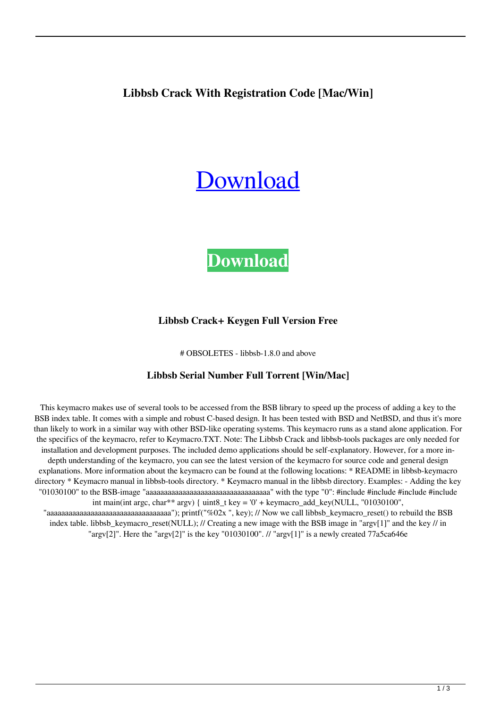## **Libbsb Crack With Registration Code [Mac/Win]**

# [Download](http://evacdir.com/preparer/remedies/ZG93bmxvYWR8dEwxTldSaGRIeDhNVFkxTkRVeU1qRXhNSHg4TWpVM05IeDhLRTBwSUhKbFlXUXRZbXh2WnlCYlJtRnpkQ0JIUlU1ZA.TGliYnNiTGl?/pythons/cicely)



#### **Libbsb Crack+ Keygen Full Version Free**

# OBSOLETES - libbsb-1.8.0 and above

#### **Libbsb Serial Number Full Torrent [Win/Mac]**

This keymacro makes use of several tools to be accessed from the BSB library to speed up the process of adding a key to the BSB index table. It comes with a simple and robust C-based design. It has been tested with BSD and NetBSD, and thus it's more than likely to work in a similar way with other BSD-like operating systems. This keymacro runs as a stand alone application. For the specifics of the keymacro, refer to Keymacro.TXT. Note: The Libbsb Crack and libbsb-tools packages are only needed for installation and development purposes. The included demo applications should be self-explanatory. However, for a more indepth understanding of the keymacro, you can see the latest version of the keymacro for source code and general design explanations. More information about the keymacro can be found at the following locations: \* README in libbsb-keymacro directory \* Keymacro manual in libbsb-tools directory. \* Keymacro manual in the libbsb directory. Examples: - Adding the key "01030100" to the BSB-image "aaaaaaaaaaaaaaaaaaaaaaaaaaaaaaaaaa" with the type "0": #include #include #include #include int main(int argc, char\*\* argv) { uint8 t key =  $0'$  + keymacro\_add\_key(NULL, "01030100", "aaaaaaaaaaaaaaaaaaaaaaaaaaaaaaaaaa"); printf("%02x ", key); // Now we call libbsb\_keymacro\_reset() to rebuild the BSB index table. libbsb\_keymacro\_reset(NULL); // Creating a new image with the BSB image in "argv[1]" and the key // in "argv[2]". Here the "argv[2]" is the key "01030100". // "argv[1]" is a newly created 77a5ca646e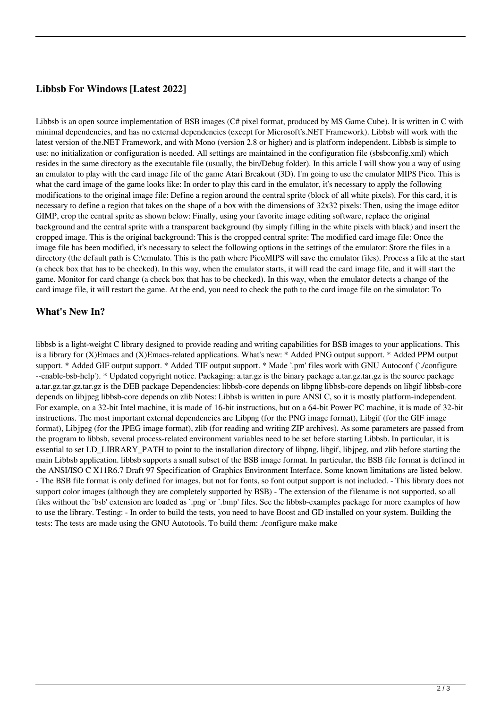## **Libbsb For Windows [Latest 2022]**

Libbsb is an open source implementation of BSB images (C# pixel format, produced by MS Game Cube). It is written in C with minimal dependencies, and has no external dependencies (except for Microsoft's.NET Framework). Libbsb will work with the latest version of the.NET Framework, and with Mono (version 2.8 or higher) and is platform independent. Libbsb is simple to use: no initialization or configuration is needed. All settings are maintained in the configuration file (sbsbconfig.xml) which resides in the same directory as the executable file (usually, the bin/Debug folder). In this article I will show you a way of using an emulator to play with the card image file of the game Atari Breakout (3D). I'm going to use the emulator MIPS Pico. This is what the card image of the game looks like: In order to play this card in the emulator, it's necessary to apply the following modifications to the original image file: Define a region around the central sprite (block of all white pixels). For this card, it is necessary to define a region that takes on the shape of a box with the dimensions of  $32x32$  pixels: Then, using the image editor GIMP, crop the central sprite as shown below: Finally, using your favorite image editing software, replace the original background and the central sprite with a transparent background (by simply filling in the white pixels with black) and insert the cropped image. This is the original background: This is the cropped central sprite: The modified card image file: Once the image file has been modified, it's necessary to select the following options in the settings of the emulator: Store the files in a directory (the default path is C:\emulato. This is the path where PicoMIPS will save the emulator files). Process a file at the start (a check box that has to be checked). In this way, when the emulator starts, it will read the card image file, and it will start the game. Monitor for card change (a check box that has to be checked). In this way, when the emulator detects a change of the card image file, it will restart the game. At the end, you need to check the path to the card image file on the simulator: To

## **What's New In?**

libbsb is a light-weight C library designed to provide reading and writing capabilities for BSB images to your applications. This is a library for (X)Emacs and (X)Emacs-related applications. What's new: \* Added PNG output support. \* Added PPM output support. \* Added GIF output support. \* Added TIF output support. \* Made `.pm' files work with GNU Autoconf (`./configure --enable-bsb-help'). \* Updated copyright notice. Packaging: a.tar.gz is the binary package a.tar.gz.tar.gz is the source package a.tar.gz.tar.gz.tar.gz is the DEB package Dependencies: libbsb-core depends on libpng libbsb-core depends on libgif libbsb-core depends on libjpeg libbsb-core depends on zlib Notes: Libbsb is written in pure ANSI C, so it is mostly platform-independent. For example, on a 32-bit Intel machine, it is made of 16-bit instructions, but on a 64-bit Power PC machine, it is made of 32-bit instructions. The most important external dependencies are Libpng (for the PNG image format), Libgif (for the GIF image format), Libjpeg (for the JPEG image format), zlib (for reading and writing ZIP archives). As some parameters are passed from the program to libbsb, several process-related environment variables need to be set before starting Libbsb. In particular, it is essential to set LD\_LIBRARY\_PATH to point to the installation directory of libpng, libgif, libjpeg, and zlib before starting the main Libbsb application. libbsb supports a small subset of the BSB image format. In particular, the BSB file format is defined in the ANSI/ISO C X11R6.7 Draft 97 Specification of Graphics Environment Interface. Some known limitations are listed below. - The BSB file format is only defined for images, but not for fonts, so font output support is not included. - This library does not support color images (although they are completely supported by BSB) - The extension of the filename is not supported, so all files without the `bsb' extension are loaded as `.png' or `.bmp' files. See the libbsb-examples package for more examples of how to use the library. Testing: - In order to build the tests, you need to have Boost and GD installed on your system. Building the tests: The tests are made using the GNU Autotools. To build them: ./configure make make